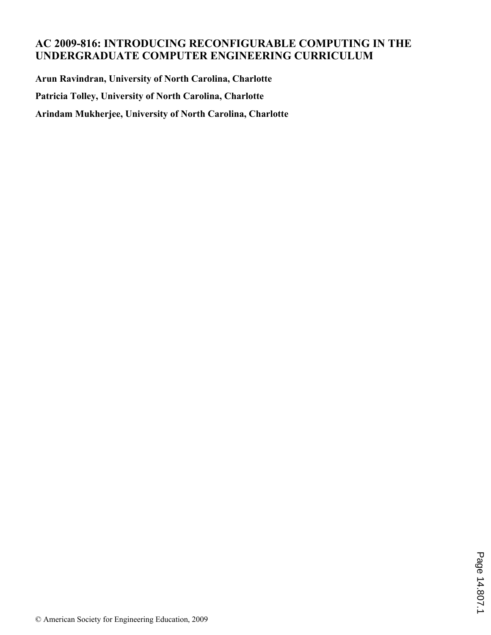# **AC 2009-816: INTRODUCING RECONFIGURABLE COMPUTING IN THE UNDERGRADUATE COMPUTER ENGINEERING CURRICULUM**

**Arun Ravindran, University of North Carolina, Charlotte Patricia Tolley, University of North Carolina, Charlotte Arindam Mukherjee, University of North Carolina, Charlotte**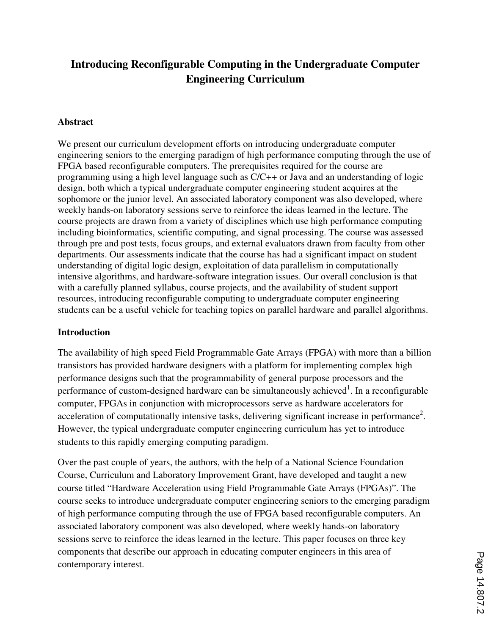# **Introducing Reconfigurable Computing in the Undergraduate Computer Engineering Curriculum**

#### **Abstract**

We present our curriculum development efforts on introducing undergraduate computer engineering seniors to the emerging paradigm of high performance computing through the use of FPGA based reconfigurable computers. The prerequisites required for the course are programming using a high level language such as C/C++ or Java and an understanding of logic design, both which a typical undergraduate computer engineering student acquires at the sophomore or the junior level. An associated laboratory component was also developed, where weekly hands-on laboratory sessions serve to reinforce the ideas learned in the lecture. The course projects are drawn from a variety of disciplines which use high performance computing including bioinformatics, scientific computing, and signal processing. The course was assessed through pre and post tests, focus groups, and external evaluators drawn from faculty from other departments. Our assessments indicate that the course has had a significant impact on student understanding of digital logic design, exploitation of data parallelism in computationally intensive algorithms, and hardware-software integration issues. Our overall conclusion is that with a carefully planned syllabus, course projects, and the availability of student support resources, introducing reconfigurable computing to undergraduate computer engineering students can be a useful vehicle for teaching topics on parallel hardware and parallel algorithms.

#### **Introduction**

The availability of high speed Field Programmable Gate Arrays (FPGA) with more than a billion transistors has provided hardware designers with a platform for implementing complex high performance designs such that the programmability of general purpose processors and the performance of custom-designed hardware can be simultaneously achieved<sup>1</sup>. In a reconfigurable computer, FPGAs in conjunction with microprocessors serve as hardware accelerators for acceleration of computationally intensive tasks, delivering significant increase in performance<sup>2</sup>. However, the typical undergraduate computer engineering curriculum has yet to introduce students to this rapidly emerging computing paradigm.

Over the past couple of years, the authors, with the help of a National Science Foundation Course, Curriculum and Laboratory Improvement Grant, have developed and taught a new course titled "Hardware Acceleration using Field Programmable Gate Arrays (FPGAs)". The course seeks to introduce undergraduate computer engineering seniors to the emerging paradigm of high performance computing through the use of FPGA based reconfigurable computers. An associated laboratory component was also developed, where weekly hands-on laboratory sessions serve to reinforce the ideas learned in the lecture. This paper focuses on three key components that describe our approach in educating computer engineers in this area of contemporary interest.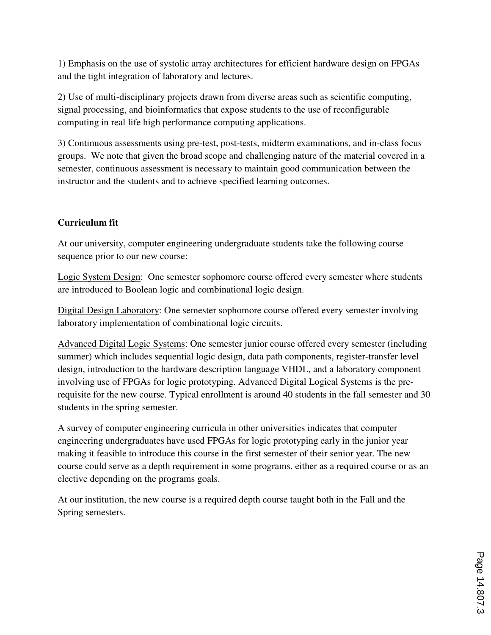1) Emphasis on the use of systolic array architectures for efficient hardware design on FPGAs and the tight integration of laboratory and lectures.

2) Use of multi-disciplinary projects drawn from diverse areas such as scientific computing, signal processing, and bioinformatics that expose students to the use of reconfigurable computing in real life high performance computing applications.

3) Continuous assessments using pre-test, post-tests, midterm examinations, and in-class focus groups. We note that given the broad scope and challenging nature of the material covered in a semester, continuous assessment is necessary to maintain good communication between the instructor and the students and to achieve specified learning outcomes.

# **Curriculum fit**

At our university, computer engineering undergraduate students take the following course sequence prior to our new course:

Logic System Design: One semester sophomore course offered every semester where students are introduced to Boolean logic and combinational logic design.

Digital Design Laboratory: One semester sophomore course offered every semester involving laboratory implementation of combinational logic circuits.

Advanced Digital Logic Systems: One semester junior course offered every semester (including summer) which includes sequential logic design, data path components, register-transfer level design, introduction to the hardware description language VHDL, and a laboratory component involving use of FPGAs for logic prototyping. Advanced Digital Logical Systems is the prerequisite for the new course. Typical enrollment is around 40 students in the fall semester and 30 students in the spring semester.

A survey of computer engineering curricula in other universities indicates that computer engineering undergraduates have used FPGAs for logic prototyping early in the junior year making it feasible to introduce this course in the first semester of their senior year. The new course could serve as a depth requirement in some programs, either as a required course or as an elective depending on the programs goals.

At our institution, the new course is a required depth course taught both in the Fall and the Spring semesters.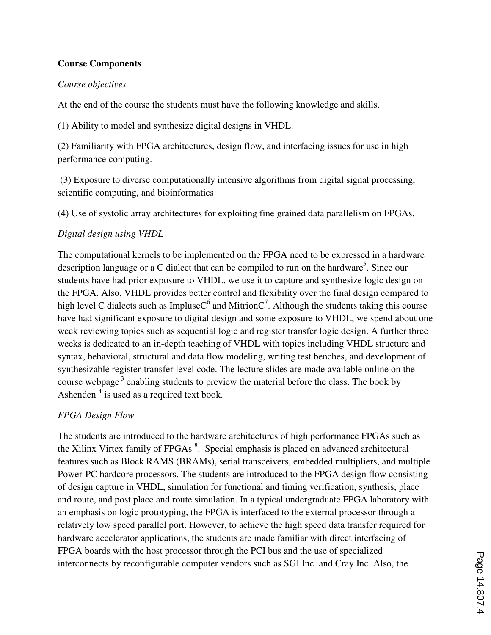## **Course Components**

#### *Course objectives*

At the end of the course the students must have the following knowledge and skills.

(1) Ability to model and synthesize digital designs in VHDL.

(2) Familiarity with FPGA architectures, design flow, and interfacing issues for use in high performance computing.

 (3) Exposure to diverse computationally intensive algorithms from digital signal processing, scientific computing, and bioinformatics

(4) Use of systolic array architectures for exploiting fine grained data parallelism on FPGAs.

# *Digital design using VHDL*

The computational kernels to be implemented on the FPGA need to be expressed in a hardware description language or a C dialect that can be compiled to run on the hardware<sup>5</sup>. Since our students have had prior exposure to VHDL, we use it to capture and synthesize logic design on the FPGA. Also, VHDL provides better control and flexibility over the final design compared to high level C dialects such as ImpluseC<sup>6</sup> and MitrionC<sup>7</sup>. Although the students taking this course have had significant exposure to digital design and some exposure to VHDL, we spend about one week reviewing topics such as sequential logic and register transfer logic design. A further three weeks is dedicated to an in-depth teaching of VHDL with topics including VHDL structure and syntax, behavioral, structural and data flow modeling, writing test benches, and development of synthesizable register-transfer level code. The lecture slides are made available online on the course webpage<sup>3</sup> enabling students to preview the material before the class. The book by Ashenden<sup>4</sup> is used as a required text book.

# *FPGA Design Flow*

The students are introduced to the hardware architectures of high performance FPGAs such as the Xilinx Virtex family of FPGAs<sup>8</sup>. Special emphasis is placed on advanced architectural features such as Block RAMS (BRAMs), serial transceivers, embedded multipliers, and multiple Power-PC hardcore processors. The students are introduced to the FPGA design flow consisting of design capture in VHDL, simulation for functional and timing verification, synthesis, place and route, and post place and route simulation. In a typical undergraduate FPGA laboratory with an emphasis on logic prototyping, the FPGA is interfaced to the external processor through a relatively low speed parallel port. However, to achieve the high speed data transfer required for hardware accelerator applications, the students are made familiar with direct interfacing of FPGA boards with the host processor through the PCI bus and the use of specialized interconnects by reconfigurable computer vendors such as SGI Inc. and Cray Inc. Also, the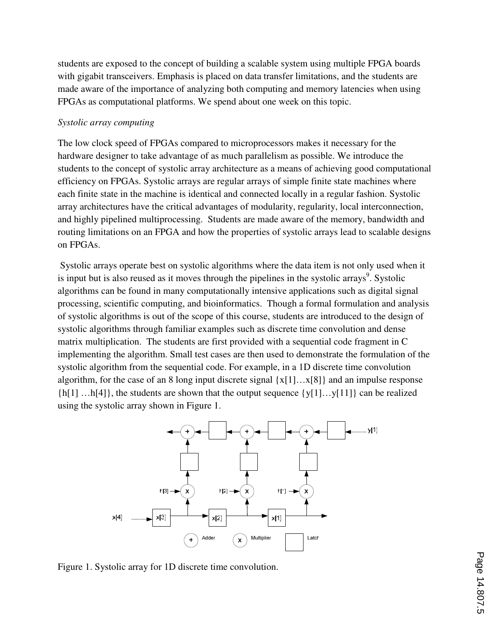students are exposed to the concept of building a scalable system using multiple FPGA boards with gigabit transceivers. Emphasis is placed on data transfer limitations, and the students are made aware of the importance of analyzing both computing and memory latencies when using FPGAs as computational platforms. We spend about one week on this topic.

#### *Systolic array computing*

The low clock speed of FPGAs compared to microprocessors makes it necessary for the hardware designer to take advantage of as much parallelism as possible. We introduce the students to the concept of systolic array architecture as a means of achieving good computational efficiency on FPGAs. Systolic arrays are regular arrays of simple finite state machines where each finite state in the machine is identical and connected locally in a regular fashion. Systolic array architectures have the critical advantages of modularity, regularity, local interconnection, and highly pipelined multiprocessing. Students are made aware of the memory, bandwidth and routing limitations on an FPGA and how the properties of systolic arrays lead to scalable designs on FPGAs.

 Systolic arrays operate best on systolic algorithms where the data item is not only used when it is input but is also reused as it moves through the pipelines in the systolic arrays<sup>9</sup>. Systolic algorithms can be found in many computationally intensive applications such as digital signal processing, scientific computing, and bioinformatics. Though a formal formulation and analysis of systolic algorithms is out of the scope of this course, students are introduced to the design of systolic algorithms through familiar examples such as discrete time convolution and dense matrix multiplication. The students are first provided with a sequential code fragment in C implementing the algorithm. Small test cases are then used to demonstrate the formulation of the systolic algorithm from the sequential code. For example, in a 1D discrete time convolution algorithm, for the case of an 8 long input discrete signal  ${x[1]...x[8]}$  and an impulse response  $\{h[1] \dots h[4]\}$ , the students are shown that the output sequence  $\{v[1] \dots v[11]\}$  can be realized using the systolic array shown in Figure 1.



Figure 1. Systolic array for 1D discrete time convolution.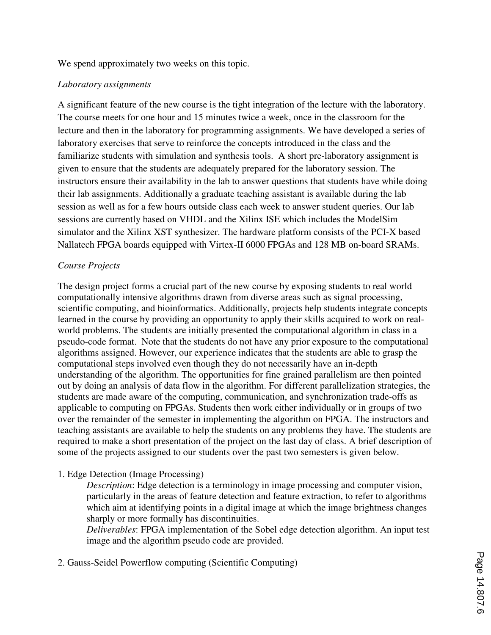We spend approximately two weeks on this topic.

#### *Laboratory assignments*

A significant feature of the new course is the tight integration of the lecture with the laboratory. The course meets for one hour and 15 minutes twice a week, once in the classroom for the lecture and then in the laboratory for programming assignments. We have developed a series of laboratory exercises that serve to reinforce the concepts introduced in the class and the familiarize students with simulation and synthesis tools. A short pre-laboratory assignment is given to ensure that the students are adequately prepared for the laboratory session. The instructors ensure their availability in the lab to answer questions that students have while doing their lab assignments. Additionally a graduate teaching assistant is available during the lab session as well as for a few hours outside class each week to answer student queries. Our lab sessions are currently based on VHDL and the Xilinx ISE which includes the ModelSim simulator and the Xilinx XST synthesizer. The hardware platform consists of the PCI-X based Nallatech FPGA boards equipped with Virtex-II 6000 FPGAs and 128 MB on-board SRAMs.

#### *Course Projects*

The design project forms a crucial part of the new course by exposing students to real world computationally intensive algorithms drawn from diverse areas such as signal processing, scientific computing, and bioinformatics. Additionally, projects help students integrate concepts learned in the course by providing an opportunity to apply their skills acquired to work on realworld problems. The students are initially presented the computational algorithm in class in a pseudo-code format. Note that the students do not have any prior exposure to the computational algorithms assigned. However, our experience indicates that the students are able to grasp the computational steps involved even though they do not necessarily have an in-depth understanding of the algorithm. The opportunities for fine grained parallelism are then pointed out by doing an analysis of data flow in the algorithm. For different parallelization strategies, the students are made aware of the computing, communication, and synchronization trade-offs as applicable to computing on FPGAs. Students then work either individually or in groups of two over the remainder of the semester in implementing the algorithm on FPGA. The instructors and teaching assistants are available to help the students on any problems they have. The students are required to make a short presentation of the project on the last day of class. A brief description of some of the projects assigned to our students over the past two semesters is given below.

#### 1. Edge Detection (Image Processing)

*Description*: Edge detection is a terminology in image processing and computer vision, particularly in the areas of feature detection and feature extraction, to refer to algorithms which aim at identifying points in a digital image at which the image brightness changes sharply or more formally has discontinuities.

*Deliverables*: FPGA implementation of the Sobel edge detection algorithm. An input test image and the algorithm pseudo code are provided.

2. Gauss-Seidel Powerflow computing (Scientific Computing)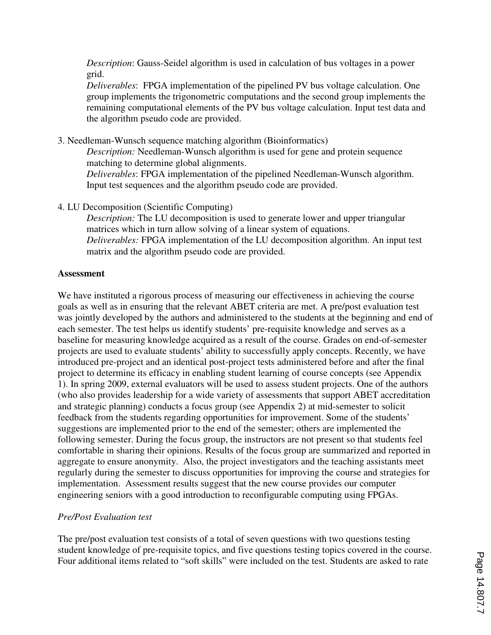*Description*: Gauss-Seidel algorithm is used in calculation of bus voltages in a power grid.

*Deliverables*: FPGA implementation of the pipelined PV bus voltage calculation. One group implements the trigonometric computations and the second group implements the remaining computational elements of the PV bus voltage calculation. Input test data and the algorithm pseudo code are provided.

3. Needleman-Wunsch sequence matching algorithm (Bioinformatics)

*Description:* Needleman-Wunsch algorithm is used for gene and protein sequence matching to determine global alignments. *Deliverables*: FPGA implementation of the pipelined Needleman-Wunsch algorithm. Input test sequences and the algorithm pseudo code are provided.

4. LU Decomposition (Scientific Computing)

*Description:* The LU decomposition is used to generate lower and upper triangular matrices which in turn allow solving of a linear system of equations. *Deliverables:* FPGA implementation of the LU decomposition algorithm. An input test matrix and the algorithm pseudo code are provided.

#### **Assessment**

We have instituted a rigorous process of measuring our effectiveness in achieving the course goals as well as in ensuring that the relevant ABET criteria are met. A pre/post evaluation test was jointly developed by the authors and administered to the students at the beginning and end of each semester. The test helps us identify students' pre-requisite knowledge and serves as a baseline for measuring knowledge acquired as a result of the course. Grades on end-of-semester projects are used to evaluate students' ability to successfully apply concepts. Recently, we have introduced pre-project and an identical post-project tests administered before and after the final project to determine its efficacy in enabling student learning of course concepts (see Appendix 1). In spring 2009, external evaluators will be used to assess student projects. One of the authors (who also provides leadership for a wide variety of assessments that support ABET accreditation and strategic planning) conducts a focus group (see Appendix 2) at mid-semester to solicit feedback from the students regarding opportunities for improvement. Some of the students' suggestions are implemented prior to the end of the semester; others are implemented the following semester. During the focus group, the instructors are not present so that students feel comfortable in sharing their opinions. Results of the focus group are summarized and reported in aggregate to ensure anonymity. Also, the project investigators and the teaching assistants meet regularly during the semester to discuss opportunities for improving the course and strategies for implementation. Assessment results suggest that the new course provides our computer engineering seniors with a good introduction to reconfigurable computing using FPGAs.

#### *Pre/Post Evaluation test*

The pre/post evaluation test consists of a total of seven questions with two questions testing student knowledge of pre-requisite topics, and five questions testing topics covered in the course. Four additional items related to "soft skills" were included on the test. Students are asked to rate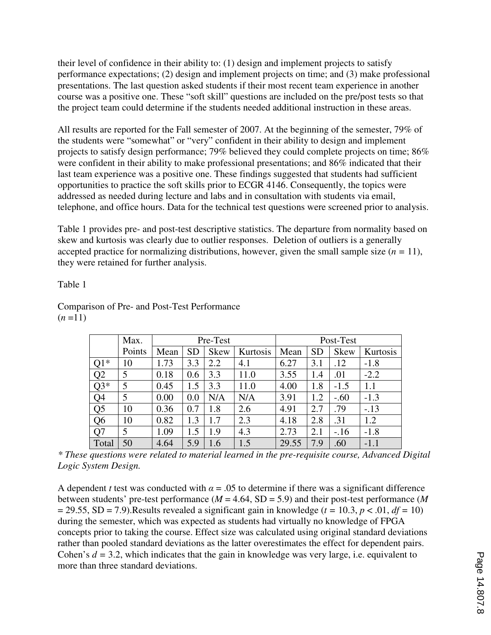their level of confidence in their ability to: (1) design and implement projects to satisfy performance expectations; (2) design and implement projects on time; and (3) make professional presentations. The last question asked students if their most recent team experience in another course was a positive one. These "soft skill" questions are included on the pre/post tests so that the project team could determine if the students needed additional instruction in these areas.

All results are reported for the Fall semester of 2007. At the beginning of the semester, 79% of the students were "somewhat" or "very" confident in their ability to design and implement projects to satisfy design performance; 79% believed they could complete projects on time; 86% were confident in their ability to make professional presentations; and 86% indicated that their last team experience was a positive one. These findings suggested that students had sufficient opportunities to practice the soft skills prior to ECGR 4146. Consequently, the topics were addressed as needed during lecture and labs and in consultation with students via email, telephone, and office hours. Data for the technical test questions were screened prior to analysis.

Table 1 provides pre- and post-test descriptive statistics. The departure from normality based on skew and kurtosis was clearly due to outlier responses. Deletion of outliers is a generally accepted practice for normalizing distributions, however, given the small sample size  $(n = 11)$ , they were retained for further analysis.

#### Table 1

|       | Max.   | Pre-Test |           |             |          | Post-Test |            |             |          |
|-------|--------|----------|-----------|-------------|----------|-----------|------------|-------------|----------|
|       | Points | Mean     | <b>SD</b> | <b>Skew</b> | Kurtosis | Mean      | <b>SD</b>  | <b>Skew</b> | Kurtosis |
| $Q1*$ | 10     | 1.73     | 3.3       | 2.2         | 4.1      | 6.27      | 3.1        | .12         | $-1.8$   |
| Q2    | 5      | 0.18     | 0.6       | 3.3         | 11.0     | 3.55      | 1.4        | .01         | $-2.2$   |
| $Q3*$ | 5      | 0.45     | 1.5       | 3.3         | 11.0     | 4.00      | 1.8        | $-1.5$      | 1.1      |
| Q4    | 5      | 0.00     | 0.0       | N/A         | N/A      | 3.91      | $\cdot$ .2 | $-.60$      | $-1.3$   |
| Q5    | 10     | 0.36     | 0.7       | 1.8         | 2.6      | 4.91      | 2.7        | .79         | $-.13$   |
| Q6    | 10     | 0.82     | 1.3       | 1.7         | 2.3      | 4.18      | 2.8        | .31         | 1.2      |
| Q7    | 5      | 1.09     | 1.5       | 1.9         | 4.3      | 2.73      | 2.1        | $-.16$      | $-1.8$   |
| Total | 50     | 4.64     | 5.9       | 1.6         | 1.5      | 29.55     | 7.9        | .60         | $-1.1$   |

Comparison of Pre- and Post-Test Performance  $(n=11)$ 

*\* These questions were related to material learned in the pre-requisite course, Advanced Digital Logic System Design.* 

A dependent *t* test was conducted with  $\alpha = 0.05$  to determine if there was a significant difference between students' pre-test performance ( $M = 4.64$ , SD = 5.9) and their post-test performance ( $M$  $= 29.55$ , SD = 7.9). Results revealed a significant gain in knowledge ( $t = 10.3$ ,  $p < .01$ ,  $df = 10$ ) during the semester, which was expected as students had virtually no knowledge of FPGA concepts prior to taking the course. Effect size was calculated using original standard deviations rather than pooled standard deviations as the latter overestimates the effect for dependent pairs. Cohen's *d =* 3.2, which indicates that the gain in knowledge was very large, i.e. equivalent to more than three standard deviations.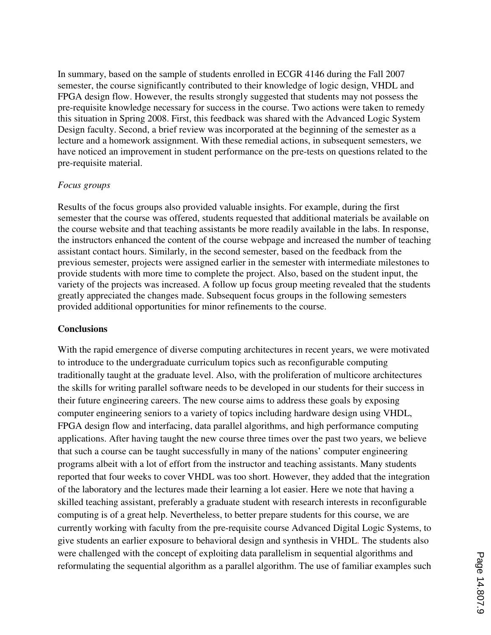In summary, based on the sample of students enrolled in ECGR 4146 during the Fall 2007 semester, the course significantly contributed to their knowledge of logic design, VHDL and FPGA design flow. However, the results strongly suggested that students may not possess the pre-requisite knowledge necessary for success in the course. Two actions were taken to remedy this situation in Spring 2008. First, this feedback was shared with the Advanced Logic System Design faculty. Second, a brief review was incorporated at the beginning of the semester as a lecture and a homework assignment. With these remedial actions, in subsequent semesters, we have noticed an improvement in student performance on the pre-tests on questions related to the pre-requisite material.

#### *Focus groups*

Results of the focus groups also provided valuable insights. For example, during the first semester that the course was offered, students requested that additional materials be available on the course website and that teaching assistants be more readily available in the labs. In response, the instructors enhanced the content of the course webpage and increased the number of teaching assistant contact hours. Similarly, in the second semester, based on the feedback from the previous semester, projects were assigned earlier in the semester with intermediate milestones to provide students with more time to complete the project. Also, based on the student input, the variety of the projects was increased. A follow up focus group meeting revealed that the students greatly appreciated the changes made. Subsequent focus groups in the following semesters provided additional opportunities for minor refinements to the course.

#### **Conclusions**

With the rapid emergence of diverse computing architectures in recent years, we were motivated to introduce to the undergraduate curriculum topics such as reconfigurable computing traditionally taught at the graduate level. Also, with the proliferation of multicore architectures the skills for writing parallel software needs to be developed in our students for their success in their future engineering careers. The new course aims to address these goals by exposing computer engineering seniors to a variety of topics including hardware design using VHDL, FPGA design flow and interfacing, data parallel algorithms, and high performance computing applications. After having taught the new course three times over the past two years, we believe that such a course can be taught successfully in many of the nations' computer engineering programs albeit with a lot of effort from the instructor and teaching assistants. Many students reported that four weeks to cover VHDL was too short. However, they added that the integration of the laboratory and the lectures made their learning a lot easier. Here we note that having a skilled teaching assistant, preferably a graduate student with research interests in reconfigurable computing is of a great help. Nevertheless, to better prepare students for this course, we are currently working with faculty from the pre-requisite course Advanced Digital Logic Systems, to give students an earlier exposure to behavioral design and synthesis in VHDL. The students also were challenged with the concept of exploiting data parallelism in sequential algorithms and reformulating the sequential algorithm as a parallel algorithm. The use of familiar examples such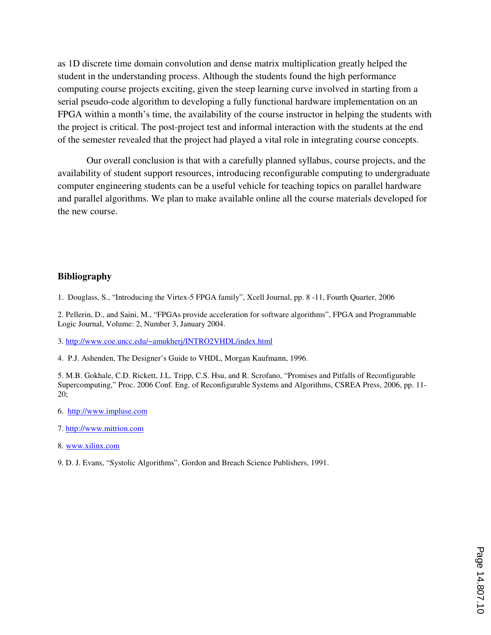as 1D discrete time domain convolution and dense matrix multiplication greatly helped the student in the understanding process. Although the students found the high performance computing course projects exciting, given the steep learning curve involved in starting from a serial pseudo-code algorithm to developing a fully functional hardware implementation on an FPGA within a month's time, the availability of the course instructor in helping the students with the project is critical. The post-project test and informal interaction with the students at the end of the semester revealed that the project had played a vital role in integrating course concepts.

 Our overall conclusion is that with a carefully planned syllabus, course projects, and the availability of student support resources, introducing reconfigurable computing to undergraduate computer engineering students can be a useful vehicle for teaching topics on parallel hardware and parallel algorithms. We plan to make available online all the course materials developed for the new course.

#### **Bibliography**

1. Douglass, S., "Introducing the Virtex-5 FPGA family", Xcell Journal, pp. 8 -11, Fourth Quarter, 2006

2. Pellerin, D., and Saini, M., "FPGAs provide acceleration for software algorithms", FPGA and Programmable Logic Journal, Volume: 2, Number 3, January 2004.

3. http://www.coe.uncc.edu/~amukherj/INTRO2VHDL/index.html

4. P.J. Ashenden, The Designer's Guide to VHDL, Morgan Kaufmann, 1996.

5. M.B. Gokhale, C.D. Rickett, J.L. Tripp, C.S. Hsu, and R. Scrofano, "Promises and Pitfalls of Reconfigurable Supercomputing," Proc. 2006 Conf. Eng. of Reconfigurable Systems and Algorithms, CSREA Press, 2006, pp. 11- 20;

- 6. http://www.impluse.com
- 7. http://www.mitrion.com
- 8. www.xilinx.com

9. D. J. Evans, "Systolic Algorithms", Gordon and Breach Science Publishers, 1991.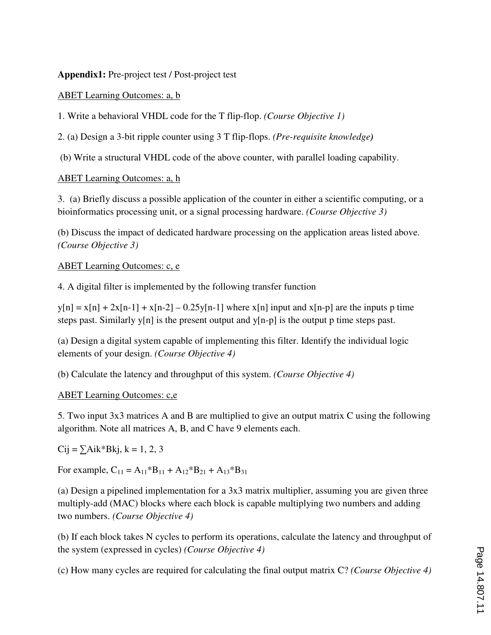**Appendix1:** Pre-project test / Post-project test

## ABET Learning Outcomes: a, b

1. Write a behavioral VHDL code for the T flip-flop. *(Course Objective 1)*

2. (a) Design a 3-bit ripple counter using 3 T flip-flops. *(Pre-requisite knowledge)*

(b) Write a structural VHDL code of the above counter, with parallel loading capability.

#### ABET Learning Outcomes: a, h

3. (a) Briefly discuss a possible application of the counter in either a scientific computing, or a bioinformatics processing unit, or a signal processing hardware. *(Course Objective 3)* 

(b) Discuss the impact of dedicated hardware processing on the application areas listed above. *(Course Objective 3)*

### ABET Learning Outcomes: c, e

4. A digital filter is implemented by the following transfer function

 $y[n] = x[n] + 2x[n-1] + x[n-2] - 0.25y[n-1]$  where  $x[n]$  input and  $x[n-p]$  are the inputs p time steps past. Similarly  $y[n]$  is the present output and  $y[n-p]$  is the output p time steps past.

(a) Design a digital system capable of implementing this filter. Identify the individual logic elements of your design. *(Course Objective 4)*

(b) Calculate the latency and throughput of this system. *(Course Objective 4)*

# ABET Learning Outcomes: c,e

5. Two input 3x3 matrices A and B are multiplied to give an output matrix C using the following algorithm. Note all matrices A, B, and C have 9 elements each.

 $Cij = \sum Aik*Bkj, k = 1, 2, 3$ 

For example,  $C_{11} = A_{11} * B_{11} + A_{12} * B_{21} + A_{13} * B_{31}$ 

(a) Design a pipelined implementation for a 3x3 matrix multiplier, assuming you are given three multiply-add (MAC) blocks where each block is capable multiplying two numbers and adding two numbers. *(Course Objective 4)*

(b) If each block takes N cycles to perform its operations, calculate the latency and throughput of the system (expressed in cycles) *(Course Objective 4)*

(c) How many cycles are required for calculating the final output matrix C? *(Course Objective 4)*